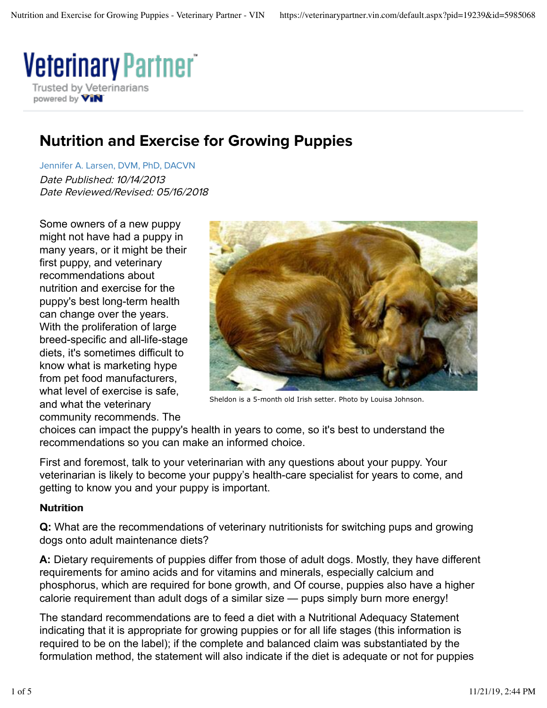

## Nutrition and Exercise for Growing Puppies

Jennifer A. Larsen, DVM, PhD, DACVN Date Published: 10/14/2013 Date Reviewed/Revised: 05/16/2018

Some owners of a new puppy might not have had a puppy in many years, or it might be their first puppy, and veterinary recommendations about nutrition and exercise for the puppy's best long-term health can change over the years. With the proliferation of large breed-specific and all-life-stage diets, it's sometimes difficult to know what is marketing hype from pet food manufacturers, what level of exercise is safe, and what the veterinary community recommends. The



Sheldon is a 5-month old Irish setter. Photo by Louisa Johnson.

choices can impact the puppy's health in years to come, so it's best to understand the recommendations so you can make an informed choice.

First and foremost, talk to your veterinarian with any questions about your puppy. Your veterinarian is likely to become your puppy's health-care specialist for years to come, and getting to know you and your puppy is important.

## Nutrition

**Q:** What are the recommendations of veterinary nutritionists for switching pups and growing dogs onto adult maintenance diets?

**A:** Dietary requirements of puppies differ from those of adult dogs. Mostly, they have different requirements for amino acids and for vitamins and minerals, especially calcium and phosphorus, which are required for bone growth, and Of course, puppies also have a higher calorie requirement than adult dogs of a similar size — pups simply burn more energy!

The standard recommendations are to feed a diet with a Nutritional Adequacy Statement indicating that it is appropriate for growing puppies or for all life stages (this information is required to be on the label); if the complete and balanced claim was substantiated by the formulation method, the statement will also indicate if the diet is adequate or not for puppies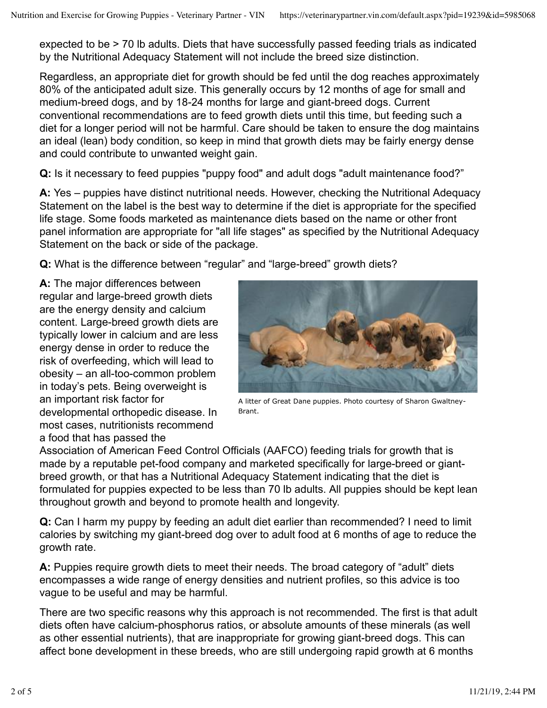expected to be > 70 lb adults. Diets that have successfully passed feeding trials as indicated by the Nutritional Adequacy Statement will not include the breed size distinction.

Regardless, an appropriate diet for growth should be fed until the dog reaches approximately 80% of the anticipated adult size. This generally occurs by 12 months of age for small and medium-breed dogs, and by 18-24 months for large and giant-breed dogs. Current conventional recommendations are to feed growth diets until this time, but feeding such a diet for a longer period will not be harmful. Care should be taken to ensure the dog maintains an ideal (lean) body condition, so keep in mind that growth diets may be fairly energy dense and could contribute to unwanted weight gain.

**Q:** Is it necessary to feed puppies "puppy food" and adult dogs "adult maintenance food?"

**A:** Yes – puppies have distinct nutritional needs. However, checking the Nutritional Adequacy Statement on the label is the best way to determine if the diet is appropriate for the specified life stage. Some foods marketed as maintenance diets based on the name or other front panel information are appropriate for "all life stages" as specified by the Nutritional Adequacy Statement on the back or side of the package.

**Q:** What is the difference between "regular" and "large-breed" growth diets?

**A:** The major differences between regular and large-breed growth diets are the energy density and calcium content. Large-breed growth diets are typically lower in calcium and are less energy dense in order to reduce the risk of overfeeding, which will lead to obesity – an all-too-common problem in today's pets. Being overweight is an important risk factor for developmental orthopedic disease. In most cases, nutritionists recommend a food that has passed the



A litter of Great Dane puppies. Photo courtesy of Sharon Gwaltney-Brant.

Association of American Feed Control Officials (AAFCO) feeding trials for growth that is made by a reputable pet-food company and marketed specifically for large-breed or giantbreed growth, or that has a Nutritional Adequacy Statement indicating that the diet is formulated for puppies expected to be less than 70 lb adults. All puppies should be kept lean throughout growth and beyond to promote health and longevity.

**Q:** Can I harm my puppy by feeding an adult diet earlier than recommended? I need to limit calories by switching my giant-breed dog over to adult food at 6 months of age to reduce the growth rate.

**A:** Puppies require growth diets to meet their needs. The broad category of "adult" diets encompasses a wide range of energy densities and nutrient profiles, so this advice is too vague to be useful and may be harmful.

There are two specific reasons why this approach is not recommended. The first is that adult diets often have calcium-phosphorus ratios, or absolute amounts of these minerals (as well as other essential nutrients), that are inappropriate for growing giant-breed dogs. This can affect bone development in these breeds, who are still undergoing rapid growth at 6 months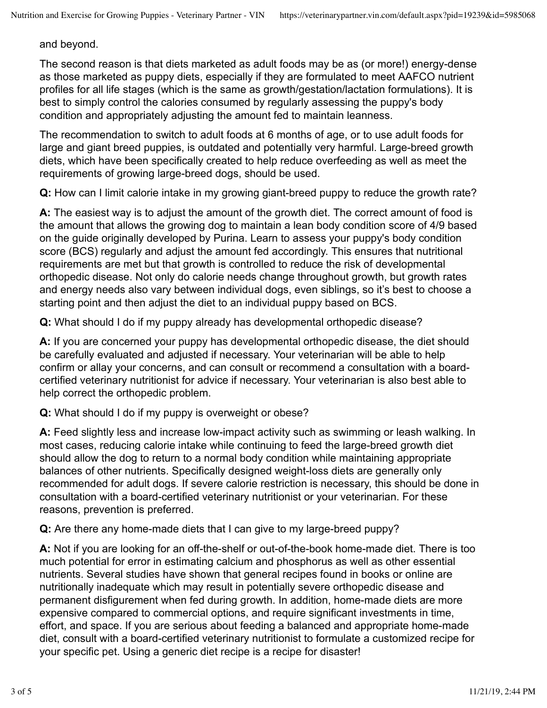## and beyond.

The second reason is that diets marketed as adult foods may be as (or more!) energy-dense as those marketed as puppy diets, especially if they are formulated to meet AAFCO nutrient profiles for all life stages (which is the same as growth/gestation/lactation formulations). It is best to simply control the calories consumed by regularly assessing the puppy's body condition and appropriately adjusting the amount fed to maintain leanness.

The recommendation to switch to adult foods at 6 months of age, or to use adult foods for large and giant breed puppies, is outdated and potentially very harmful. Large-breed growth diets, which have been specifically created to help reduce overfeeding as well as meet the requirements of growing large-breed dogs, should be used.

**Q:** How can I limit calorie intake in my growing giant-breed puppy to reduce the growth rate?

**A:** The easiest way is to adjust the amount of the growth diet. The correct amount of food is the amount that allows the growing dog to maintain a lean body condition score of 4/9 based on the guide originally developed by Purina. Learn to assess your puppy's body condition score (BCS) regularly and adjust the amount fed accordingly. This ensures that nutritional requirements are met but that growth is controlled to reduce the risk of developmental orthopedic disease. Not only do calorie needs change throughout growth, but growth rates and energy needs also vary between individual dogs, even siblings, so it's best to choose a starting point and then adjust the diet to an individual puppy based on BCS.

**Q:** What should I do if my puppy already has developmental orthopedic disease?

**A:** If you are concerned your puppy has developmental orthopedic disease, the diet should be carefully evaluated and adjusted if necessary. Your veterinarian will be able to help confirm or allay your concerns, and can consult or recommend a consultation with a boardcertified veterinary nutritionist for advice if necessary. Your veterinarian is also best able to help correct the orthopedic problem.

**Q:** What should I do if my puppy is overweight or obese?

**A:** Feed slightly less and increase low-impact activity such as swimming or leash walking. In most cases, reducing calorie intake while continuing to feed the large-breed growth diet should allow the dog to return to a normal body condition while maintaining appropriate balances of other nutrients. Specifically designed weight-loss diets are generally only recommended for adult dogs. If severe calorie restriction is necessary, this should be done in consultation with a board-certified veterinary nutritionist or your veterinarian. For these reasons, prevention is preferred.

**Q:** Are there any home-made diets that I can give to my large-breed puppy?

**A:** Not if you are looking for an off-the-shelf or out-of-the-book home-made diet. There is too much potential for error in estimating calcium and phosphorus as well as other essential nutrients. Several studies have shown that general recipes found in books or online are nutritionally inadequate which may result in potentially severe orthopedic disease and permanent disfigurement when fed during growth. In addition, home-made diets are more expensive compared to commercial options, and require significant investments in time, effort, and space. If you are serious about feeding a balanced and appropriate home-made diet, consult with a board-certified veterinary nutritionist to formulate a customized recipe for your specific pet. Using a generic diet recipe is a recipe for disaster!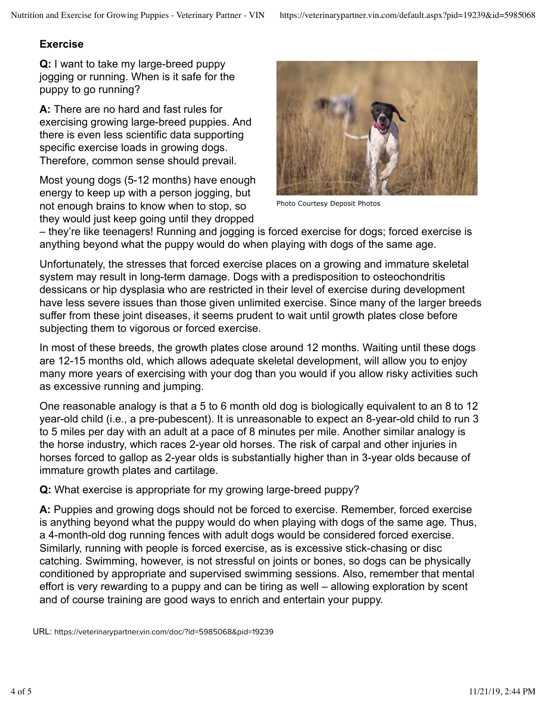## **Exercise**

**Q:** I want to take my large-breed puppy jogging or running. When is it safe for the puppy to go running?

**A:** There are no hard and fast rules for exercising growing large-breed puppies. And there is even less scientific data supporting specific exercise loads in growing dogs. Therefore, common sense should prevail.

Most young dogs (5-12 months) have enough energy to keep up with a person jogging, but not enough brains to know when to stop, so they would just keep going until they dropped



Photo Courtesy Deposit Photos

– they're like teenagers! Running and jogging is forced exercise for dogs; forced exercise is anything beyond what the puppy would do when playing with dogs of the same age.

Unfortunately, the stresses that forced exercise places on a growing and immature skeletal system may result in long-term damage. Dogs with a predisposition to osteochondritis dessicans or hip dysplasia who are restricted in their level of exercise during development have less severe issues than those given unlimited exercise. Since many of the larger breeds suffer from these joint diseases, it seems prudent to wait until growth plates close before subjecting them to vigorous or forced exercise.

In most of these breeds, the growth plates close around 12 months. Waiting until these dogs are 12-15 months old, which allows adequate skeletal development, will allow you to enjoy many more years of exercising with your dog than you would if you allow risky activities such as excessive running and jumping.

One reasonable analogy is that a 5 to 6 month old dog is biologically equivalent to an 8 to 12 year-old child (i.e., a pre-pubescent). It is unreasonable to expect an 8-year-old child to run 3 to 5 miles per day with an adult at a pace of 8 minutes per mile. Another similar analogy is the horse industry, which races 2-year old horses. The risk of carpal and other injuries in horses forced to gallop as 2-year olds is substantially higher than in 3-year olds because of immature growth plates and cartilage.

**Q:** What exercise is appropriate for my growing large-breed puppy?

**A:** Puppies and growing dogs should not be forced to exercise. Remember, forced exercise is anything beyond what the puppy would do when playing with dogs of the same age. Thus, a 4-month-old dog running fences with adult dogs would be considered forced exercise. Similarly, running with people is forced exercise, as is excessive stick-chasing or disc catching. Swimming, however, is not stressful on joints or bones, so dogs can be physically conditioned by appropriate and supervised swimming sessions. Also, remember that mental effort is very rewarding to a puppy and can be tiring as well – allowing exploration by scent and of course training are good ways to enrich and entertain your puppy.